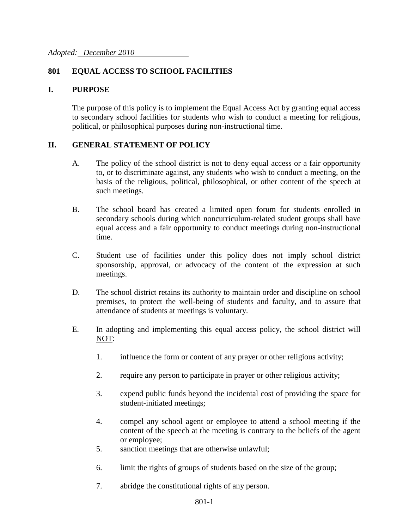### **801 EQUAL ACCESS TO SCHOOL FACILITIES**

### **I. PURPOSE**

The purpose of this policy is to implement the Equal Access Act by granting equal access to secondary school facilities for students who wish to conduct a meeting for religious, political, or philosophical purposes during non-instructional time.

### **II. GENERAL STATEMENT OF POLICY**

- A. The policy of the school district is not to deny equal access or a fair opportunity to, or to discriminate against, any students who wish to conduct a meeting, on the basis of the religious, political, philosophical, or other content of the speech at such meetings.
- B. The school board has created a limited open forum for students enrolled in secondary schools during which noncurriculum-related student groups shall have equal access and a fair opportunity to conduct meetings during non-instructional time.
- C. Student use of facilities under this policy does not imply school district sponsorship, approval, or advocacy of the content of the expression at such meetings.
- D. The school district retains its authority to maintain order and discipline on school premises, to protect the well-being of students and faculty, and to assure that attendance of students at meetings is voluntary.
- E. In adopting and implementing this equal access policy, the school district will NOT:
	- 1. influence the form or content of any prayer or other religious activity;
	- 2. require any person to participate in prayer or other religious activity;
	- 3. expend public funds beyond the incidental cost of providing the space for student-initiated meetings;
	- 4. compel any school agent or employee to attend a school meeting if the content of the speech at the meeting is contrary to the beliefs of the agent or employee;
	- 5. sanction meetings that are otherwise unlawful;
	- 6. limit the rights of groups of students based on the size of the group;
	- 7. abridge the constitutional rights of any person.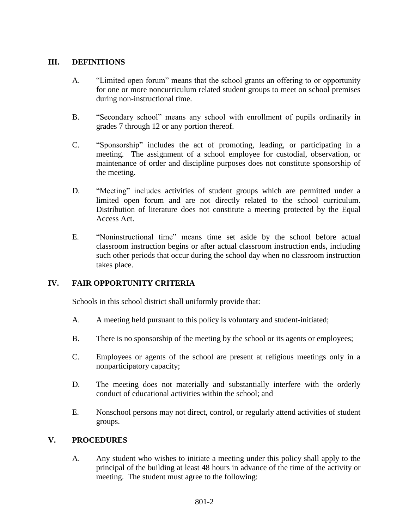## **III. DEFINITIONS**

- A. "Limited open forum" means that the school grants an offering to or opportunity for one or more noncurriculum related student groups to meet on school premises during non-instructional time.
- B. "Secondary school" means any school with enrollment of pupils ordinarily in grades 7 through 12 or any portion thereof.
- C. "Sponsorship" includes the act of promoting, leading, or participating in a meeting. The assignment of a school employee for custodial, observation, or maintenance of order and discipline purposes does not constitute sponsorship of the meeting.
- D. "Meeting" includes activities of student groups which are permitted under a limited open forum and are not directly related to the school curriculum. Distribution of literature does not constitute a meeting protected by the Equal Access Act.
- E. "Noninstructional time" means time set aside by the school before actual classroom instruction begins or after actual classroom instruction ends, including such other periods that occur during the school day when no classroom instruction takes place.

# **IV. FAIR OPPORTUNITY CRITERIA**

Schools in this school district shall uniformly provide that:

- A. A meeting held pursuant to this policy is voluntary and student-initiated;
- B. There is no sponsorship of the meeting by the school or its agents or employees;
- C. Employees or agents of the school are present at religious meetings only in a nonparticipatory capacity;
- D. The meeting does not materially and substantially interfere with the orderly conduct of educational activities within the school; and
- E. Nonschool persons may not direct, control, or regularly attend activities of student groups.

# **V. PROCEDURES**

A. Any student who wishes to initiate a meeting under this policy shall apply to the principal of the building at least 48 hours in advance of the time of the activity or meeting. The student must agree to the following: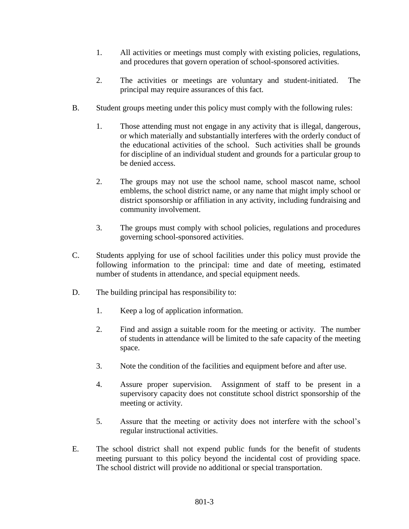- 1. All activities or meetings must comply with existing policies, regulations, and procedures that govern operation of school-sponsored activities.
- 2. The activities or meetings are voluntary and student-initiated. The principal may require assurances of this fact.
- B. Student groups meeting under this policy must comply with the following rules:
	- 1. Those attending must not engage in any activity that is illegal, dangerous, or which materially and substantially interferes with the orderly conduct of the educational activities of the school. Such activities shall be grounds for discipline of an individual student and grounds for a particular group to be denied access.
	- 2. The groups may not use the school name, school mascot name, school emblems, the school district name, or any name that might imply school or district sponsorship or affiliation in any activity, including fundraising and community involvement.
	- 3. The groups must comply with school policies, regulations and procedures governing school-sponsored activities.
- C. Students applying for use of school facilities under this policy must provide the following information to the principal: time and date of meeting, estimated number of students in attendance, and special equipment needs.
- D. The building principal has responsibility to:
	- 1. Keep a log of application information.
	- 2. Find and assign a suitable room for the meeting or activity. The number of students in attendance will be limited to the safe capacity of the meeting space.
	- 3. Note the condition of the facilities and equipment before and after use.
	- 4. Assure proper supervision. Assignment of staff to be present in a supervisory capacity does not constitute school district sponsorship of the meeting or activity.
	- 5. Assure that the meeting or activity does not interfere with the school's regular instructional activities.
- E. The school district shall not expend public funds for the benefit of students meeting pursuant to this policy beyond the incidental cost of providing space. The school district will provide no additional or special transportation.